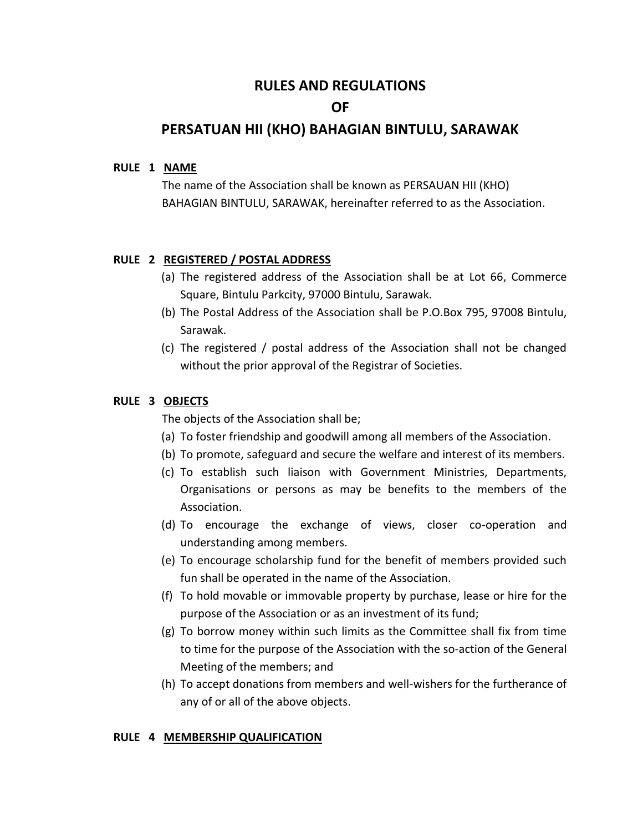# **RULES AND REGULATIONS**

# **OF**

# **PERSATUAN HII (KHO) BAHAGIAN BINTULU, SARAWAK**

# **RULE 1 NAME**

 The name of the Association shall be known as PERSAUAN HII (KHO) BAHAGIAN BINTULU, SARAWAK, hereinafter referred to as the Association.

# **RULE 2 REGISTERED / POSTAL ADDRESS**

- (a) The registered address of the Association shall be at Lot 66, Commerce Square, Bintulu Parkcity, 97000 Bintulu, Sarawak.
- (b) The Postal Address of the Association shall be P.O.Box 795, 97008 Bintulu, Sarawak.
- (c) The registered / postal address of the Association shall not be changed without the prior approval of the Registrar of Societies.

### **RULE 3 OBJECTS**

The objects of the Association shall be;

- (a) To foster friendship and goodwill among all members of the Association.
- (b) To promote, safeguard and secure the welfare and interest of its members.
- (c) To establish such liaison with Government Ministries, Departments, Organisations or persons as may be benefits to the members of the Association.
- (d) To encourage the exchange of views, closer co-operation and understanding among members.
- (e) To encourage scholarship fund for the benefit of members provided such fun shall be operated in the name of the Association.
- (f) To hold movable or immovable property by purchase, lease or hire for the purpose of the Association or as an investment of its fund;
- (g) To borrow money within such limits as the Committee shall fix from time to time for the purpose of the Association with the so-action of the General Meeting of the members; and
- (h) To accept donations from members and well-wishers for the furtherance of any of or all of the above objects.

#### **RULE 4 MEMBERSHIP QUALIFICATION**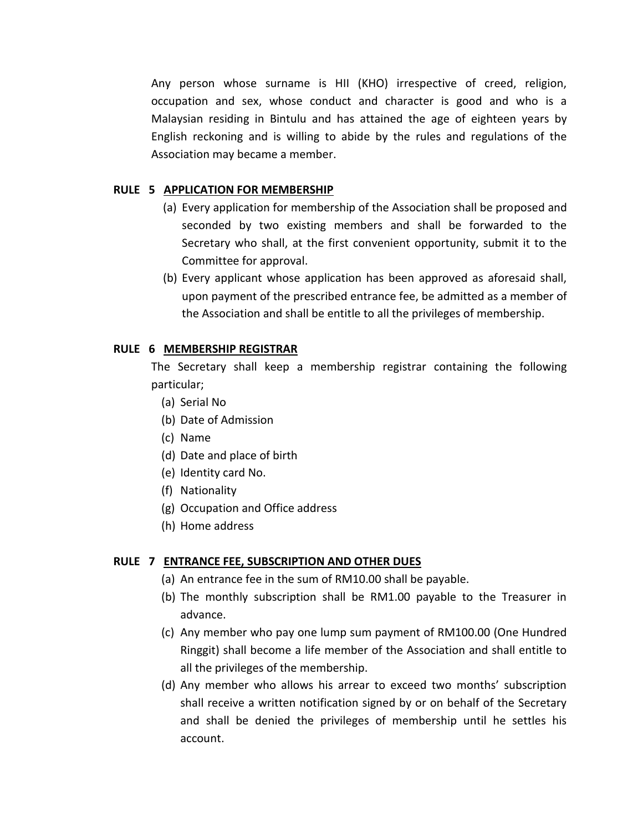Any person whose surname is HII (KHO) irrespective of creed, religion, occupation and sex, whose conduct and character is good and who is a Malaysian residing in Bintulu and has attained the age of eighteen years by English reckoning and is willing to abide by the rules and regulations of the Association may became a member.

## **RULE 5 APPLICATION FOR MEMBERSHIP**

- (a) Every application for membership of the Association shall be proposed and seconded by two existing members and shall be forwarded to the Secretary who shall, at the first convenient opportunity, submit it to the Committee for approval.
- (b) Every applicant whose application has been approved as aforesaid shall, upon payment of the prescribed entrance fee, be admitted as a member of the Association and shall be entitle to all the privileges of membership.

# **RULE 6 MEMBERSHIP REGISTRAR**

The Secretary shall keep a membership registrar containing the following particular;

- (a) Serial No
- (b) Date of Admission
- (c) Name
- (d) Date and place of birth
- (e) Identity card No.
- (f) Nationality
- (g) Occupation and Office address
- (h) Home address

### **RULE 7 ENTRANCE FEE, SUBSCRIPTION AND OTHER DUES**

- (a) An entrance fee in the sum of RM10.00 shall be payable.
- (b) The monthly subscription shall be RM1.00 payable to the Treasurer in advance.
- (c) Any member who pay one lump sum payment of RM100.00 (One Hundred Ringgit) shall become a life member of the Association and shall entitle to all the privileges of the membership.
- (d) Any member who allows his arrear to exceed two months' subscription shall receive a written notification signed by or on behalf of the Secretary and shall be denied the privileges of membership until he settles his account.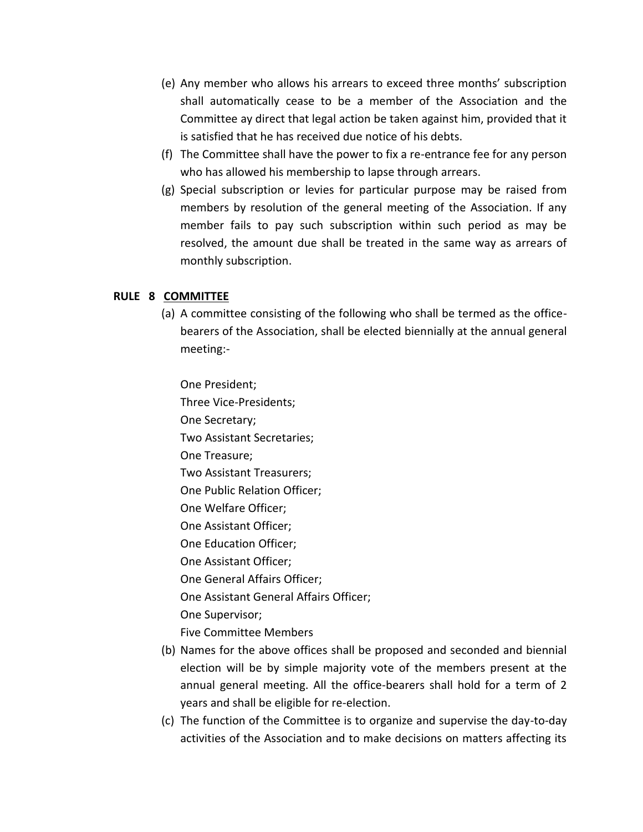- (e) Any member who allows his arrears to exceed three months' subscription shall automatically cease to be a member of the Association and the Committee ay direct that legal action be taken against him, provided that it is satisfied that he has received due notice of his debts.
- (f) The Committee shall have the power to fix a re-entrance fee for any person who has allowed his membership to lapse through arrears.
- (g) Special subscription or levies for particular purpose may be raised from members by resolution of the general meeting of the Association. If any member fails to pay such subscription within such period as may be resolved, the amount due shall be treated in the same way as arrears of monthly subscription.

# **RULE 8 COMMITTEE**

(a) A committee consisting of the following who shall be termed as the officebearers of the Association, shall be elected biennially at the annual general meeting:-

One President; Three Vice-Presidents; One Secretary; Two Assistant Secretaries; One Treasure; Two Assistant Treasurers; One Public Relation Officer; One Welfare Officer; One Assistant Officer; One Education Officer; One Assistant Officer; One General Affairs Officer; One Assistant General Affairs Officer; One Supervisor; Five Committee Members

- (b) Names for the above offices shall be proposed and seconded and biennial election will be by simple majority vote of the members present at the annual general meeting. All the office-bearers shall hold for a term of 2 years and shall be eligible for re-election.
- (c) The function of the Committee is to organize and supervise the day-to-day activities of the Association and to make decisions on matters affecting its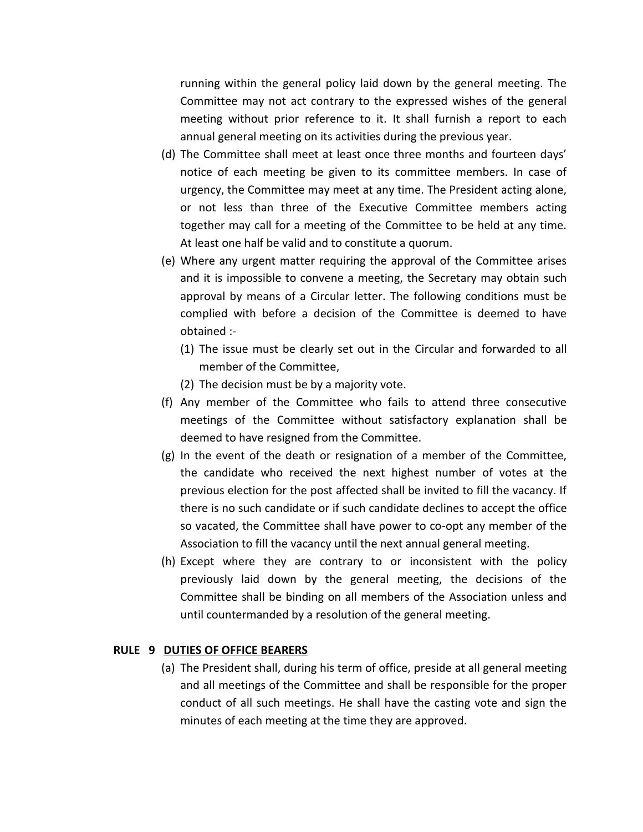running within the general policy laid down by the general meeting. The Committee may not act contrary to the expressed wishes of the general meeting without prior reference to it. It shall furnish a report to each annual general meeting on its activities during the previous year.

- (d) The Committee shall meet at least once three months and fourteen days' notice of each meeting be given to its committee members. In case of urgency, the Committee may meet at any time. The President acting alone, or not less than three of the Executive Committee members acting together may call for a meeting of the Committee to be held at any time. At least one half be valid and to constitute a quorum.
- (e) Where any urgent matter requiring the approval of the Committee arises and it is impossible to convene a meeting, the Secretary may obtain such approval by means of a Circular letter. The following conditions must be complied with before a decision of the Committee is deemed to have obtained :-
	- (1) The issue must be clearly set out in the Circular and forwarded to all member of the Committee,
	- (2) The decision must be by a majority vote.
- (f) Any member of the Committee who fails to attend three consecutive meetings of the Committee without satisfactory explanation shall be deemed to have resigned from the Committee.
- (g) In the event of the death or resignation of a member of the Committee, the candidate who received the next highest number of votes at the previous election for the post affected shall be invited to fill the vacancy. If there is no such candidate or if such candidate declines to accept the office so vacated, the Committee shall have power to co-opt any member of the Association to fill the vacancy until the next annual general meeting.
- (h) Except where they are contrary to or inconsistent with the policy previously laid down by the general meeting, the decisions of the Committee shall be binding on all members of the Association unless and until countermanded by a resolution of the general meeting.

### **RULE 9 DUTIES OF OFFICE BEARERS**

(a) The President shall, during his term of office, preside at all general meeting and all meetings of the Committee and shall be responsible for the proper conduct of all such meetings. He shall have the casting vote and sign the minutes of each meeting at the time they are approved.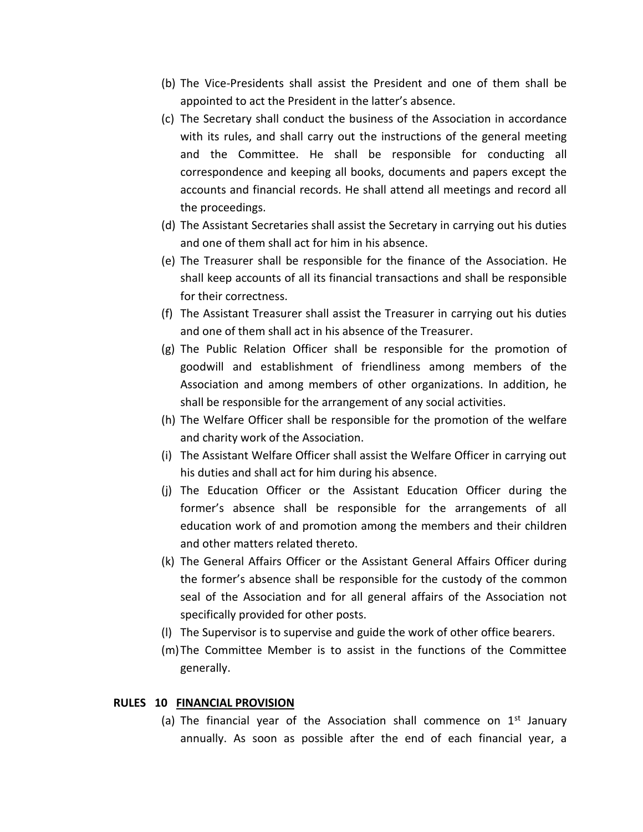- (b) The Vice-Presidents shall assist the President and one of them shall be appointed to act the President in the latter's absence.
- (c) The Secretary shall conduct the business of the Association in accordance with its rules, and shall carry out the instructions of the general meeting and the Committee. He shall be responsible for conducting all correspondence and keeping all books, documents and papers except the accounts and financial records. He shall attend all meetings and record all the proceedings.
- (d) The Assistant Secretaries shall assist the Secretary in carrying out his duties and one of them shall act for him in his absence.
- (e) The Treasurer shall be responsible for the finance of the Association. He shall keep accounts of all its financial transactions and shall be responsible for their correctness.
- (f) The Assistant Treasurer shall assist the Treasurer in carrying out his duties and one of them shall act in his absence of the Treasurer.
- (g) The Public Relation Officer shall be responsible for the promotion of goodwill and establishment of friendliness among members of the Association and among members of other organizations. In addition, he shall be responsible for the arrangement of any social activities.
- (h) The Welfare Officer shall be responsible for the promotion of the welfare and charity work of the Association.
- (i) The Assistant Welfare Officer shall assist the Welfare Officer in carrying out his duties and shall act for him during his absence.
- (j) The Education Officer or the Assistant Education Officer during the former's absence shall be responsible for the arrangements of all education work of and promotion among the members and their children and other matters related thereto.
- (k) The General Affairs Officer or the Assistant General Affairs Officer during the former's absence shall be responsible for the custody of the common seal of the Association and for all general affairs of the Association not specifically provided for other posts.
- (l) The Supervisor is to supervise and guide the work of other office bearers.
- (m)The Committee Member is to assist in the functions of the Committee generally.

## **RULES 10 FINANCIAL PROVISION**

(a) The financial year of the Association shall commence on  $1<sup>st</sup>$  January annually. As soon as possible after the end of each financial year, a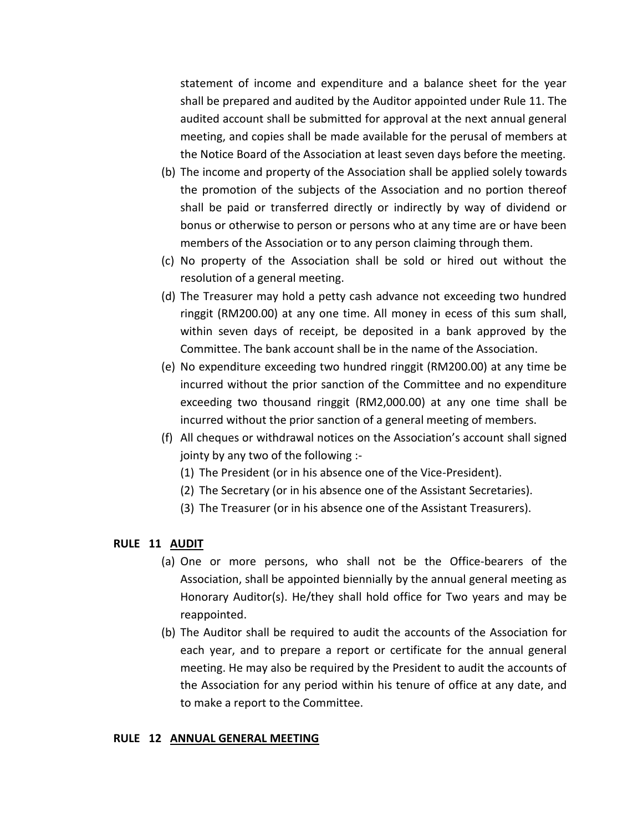statement of income and expenditure and a balance sheet for the year shall be prepared and audited by the Auditor appointed under Rule 11. The audited account shall be submitted for approval at the next annual general meeting, and copies shall be made available for the perusal of members at the Notice Board of the Association at least seven days before the meeting.

- (b) The income and property of the Association shall be applied solely towards the promotion of the subjects of the Association and no portion thereof shall be paid or transferred directly or indirectly by way of dividend or bonus or otherwise to person or persons who at any time are or have been members of the Association or to any person claiming through them.
- (c) No property of the Association shall be sold or hired out without the resolution of a general meeting.
- (d) The Treasurer may hold a petty cash advance not exceeding two hundred ringgit (RM200.00) at any one time. All money in ecess of this sum shall, within seven days of receipt, be deposited in a bank approved by the Committee. The bank account shall be in the name of the Association.
- (e) No expenditure exceeding two hundred ringgit (RM200.00) at any time be incurred without the prior sanction of the Committee and no expenditure exceeding two thousand ringgit (RM2,000.00) at any one time shall be incurred without the prior sanction of a general meeting of members.
- (f) All cheques or withdrawal notices on the Association's account shall signed jointy by any two of the following :-
	- (1) The President (or in his absence one of the Vice-President).
	- (2) The Secretary (or in his absence one of the Assistant Secretaries).
	- (3) The Treasurer (or in his absence one of the Assistant Treasurers).

### **RULE 11 AUDIT**

- (a) One or more persons, who shall not be the Office-bearers of the Association, shall be appointed biennially by the annual general meeting as Honorary Auditor(s). He/they shall hold office for Two years and may be reappointed.
- (b) The Auditor shall be required to audit the accounts of the Association for each year, and to prepare a report or certificate for the annual general meeting. He may also be required by the President to audit the accounts of the Association for any period within his tenure of office at any date, and to make a report to the Committee.

#### **RULE 12 ANNUAL GENERAL MEETING**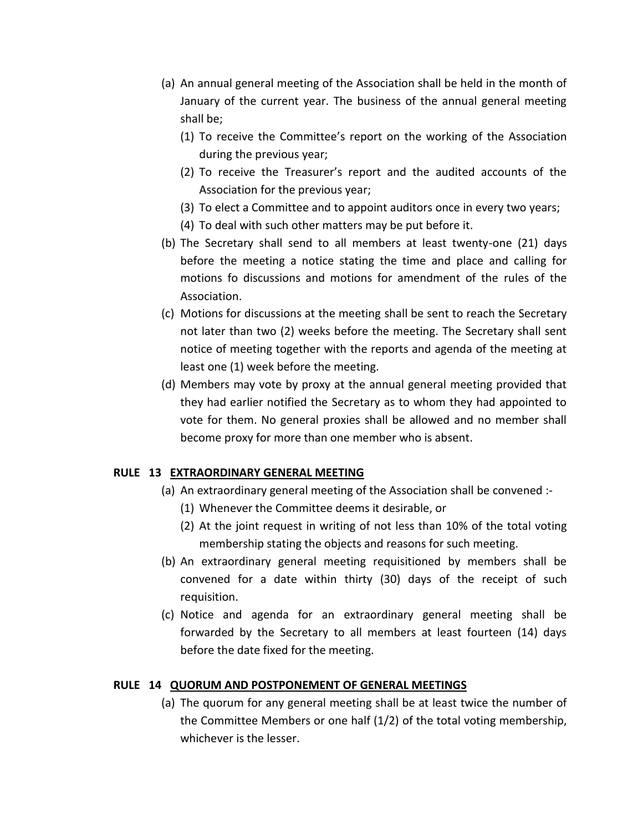- (a) An annual general meeting of the Association shall be held in the month of January of the current year. The business of the annual general meeting shall be;
	- (1) To receive the Committee's report on the working of the Association during the previous year;
	- (2) To receive the Treasurer's report and the audited accounts of the Association for the previous year;
	- (3) To elect a Committee and to appoint auditors once in every two years;
	- (4) To deal with such other matters may be put before it.
- (b) The Secretary shall send to all members at least twenty-one (21) days before the meeting a notice stating the time and place and calling for motions fo discussions and motions for amendment of the rules of the Association.
- (c) Motions for discussions at the meeting shall be sent to reach the Secretary not later than two (2) weeks before the meeting. The Secretary shall sent notice of meeting together with the reports and agenda of the meeting at least one (1) week before the meeting.
- (d) Members may vote by proxy at the annual general meeting provided that they had earlier notified the Secretary as to whom they had appointed to vote for them. No general proxies shall be allowed and no member shall become proxy for more than one member who is absent.

# **RULE 13 EXTRAORDINARY GENERAL MEETING**

- (a) An extraordinary general meeting of the Association shall be convened :-
	- (1) Whenever the Committee deems it desirable, or
	- (2) At the joint request in writing of not less than 10% of the total voting membership stating the objects and reasons for such meeting.
- (b) An extraordinary general meeting requisitioned by members shall be convened for a date within thirty (30) days of the receipt of such requisition.
- (c) Notice and agenda for an extraordinary general meeting shall be forwarded by the Secretary to all members at least fourteen (14) days before the date fixed for the meeting.

### **RULE 14 QUORUM AND POSTPONEMENT OF GENERAL MEETINGS**

(a) The quorum for any general meeting shall be at least twice the number of the Committee Members or one half (1/2) of the total voting membership, whichever is the lesser.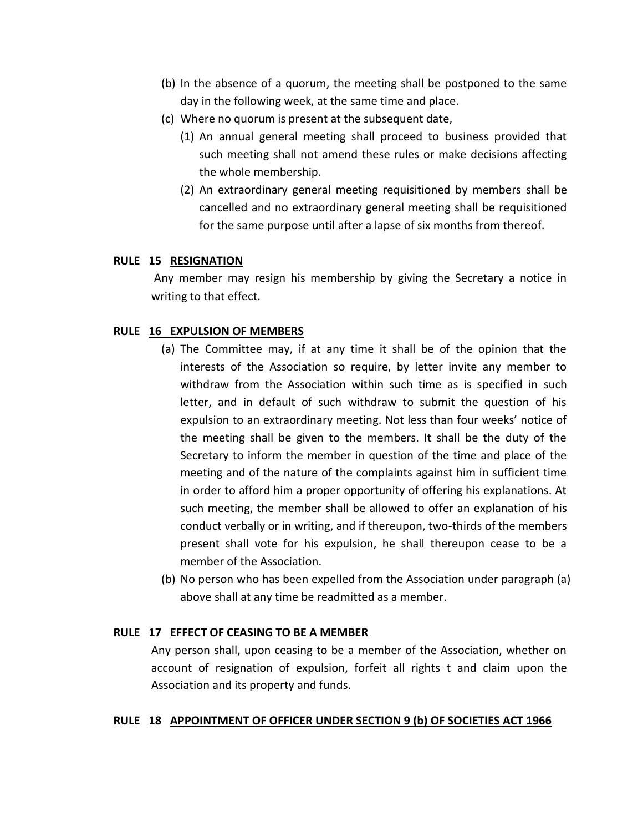- (b) In the absence of a quorum, the meeting shall be postponed to the same day in the following week, at the same time and place.
- (c) Where no quorum is present at the subsequent date,
	- (1) An annual general meeting shall proceed to business provided that such meeting shall not amend these rules or make decisions affecting the whole membership.
	- (2) An extraordinary general meeting requisitioned by members shall be cancelled and no extraordinary general meeting shall be requisitioned for the same purpose until after a lapse of six months from thereof.

### **RULE 15 RESIGNATION**

Any member may resign his membership by giving the Secretary a notice in writing to that effect.

# **RULE 16 EXPULSION OF MEMBERS**

- (a) The Committee may, if at any time it shall be of the opinion that the interests of the Association so require, by letter invite any member to withdraw from the Association within such time as is specified in such letter, and in default of such withdraw to submit the question of his expulsion to an extraordinary meeting. Not less than four weeks' notice of the meeting shall be given to the members. It shall be the duty of the Secretary to inform the member in question of the time and place of the meeting and of the nature of the complaints against him in sufficient time in order to afford him a proper opportunity of offering his explanations. At such meeting, the member shall be allowed to offer an explanation of his conduct verbally or in writing, and if thereupon, two-thirds of the members present shall vote for his expulsion, he shall thereupon cease to be a member of the Association.
- (b) No person who has been expelled from the Association under paragraph (a) above shall at any time be readmitted as a member.

# **RULE 17 EFFECT OF CEASING TO BE A MEMBER**

Any person shall, upon ceasing to be a member of the Association, whether on account of resignation of expulsion, forfeit all rights t and claim upon the Association and its property and funds.

### **RULE 18 APPOINTMENT OF OFFICER UNDER SECTION 9 (b) OF SOCIETIES ACT 1966**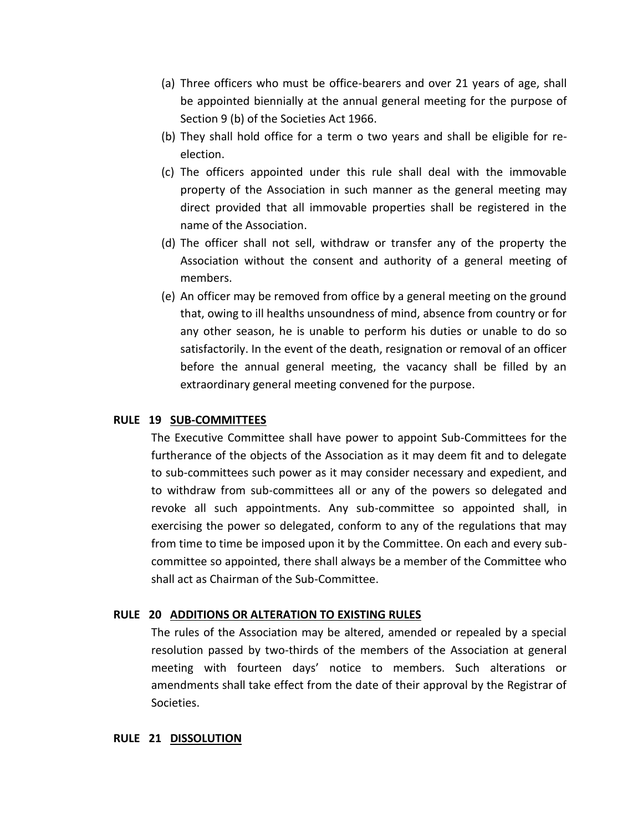- (a) Three officers who must be office-bearers and over 21 years of age, shall be appointed biennially at the annual general meeting for the purpose of Section 9 (b) of the Societies Act 1966.
- (b) They shall hold office for a term o two years and shall be eligible for reelection.
- (c) The officers appointed under this rule shall deal with the immovable property of the Association in such manner as the general meeting may direct provided that all immovable properties shall be registered in the name of the Association.
- (d) The officer shall not sell, withdraw or transfer any of the property the Association without the consent and authority of a general meeting of members.
- (e) An officer may be removed from office by a general meeting on the ground that, owing to ill healths unsoundness of mind, absence from country or for any other season, he is unable to perform his duties or unable to do so satisfactorily. In the event of the death, resignation or removal of an officer before the annual general meeting, the vacancy shall be filled by an extraordinary general meeting convened for the purpose.

### **RULE 19 SUB-COMMITTEES**

The Executive Committee shall have power to appoint Sub-Committees for the furtherance of the objects of the Association as it may deem fit and to delegate to sub-committees such power as it may consider necessary and expedient, and to withdraw from sub-committees all or any of the powers so delegated and revoke all such appointments. Any sub-committee so appointed shall, in exercising the power so delegated, conform to any of the regulations that may from time to time be imposed upon it by the Committee. On each and every subcommittee so appointed, there shall always be a member of the Committee who shall act as Chairman of the Sub-Committee.

# **RULE 20 ADDITIONS OR ALTERATION TO EXISTING RULES**

The rules of the Association may be altered, amended or repealed by a special resolution passed by two-thirds of the members of the Association at general meeting with fourteen days' notice to members. Such alterations or amendments shall take effect from the date of their approval by the Registrar of Societies.

### **RULE 21 DISSOLUTION**